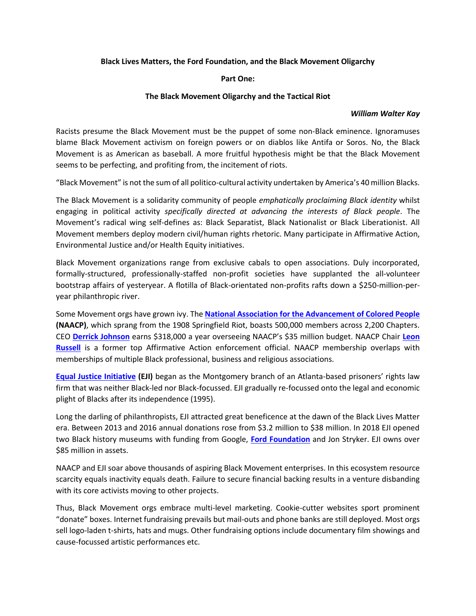### **Black Lives Matters, the Ford Foundation, and the Black Movement Oligarchy**

## **Part One:**

## **The Black Movement Oligarchy and the Tactical Riot**

#### *William Walter Kay*

Racists presume the Black Movement must be the puppet of some non-Black eminence. Ignoramuses blame Black Movement activism on foreign powers or on diablos like Antifa or Soros. No, the Black Movement is as American as baseball. A more fruitful hypothesis might be that the Black Movement seems to be perfecting, and profiting from, the incitement of riots.

"Black Movement" is not the sum of all politico-cultural activity undertaken by America's 40 million Blacks.

The Black Movement is a solidarity community of people *emphatically proclaiming Black identity* whilst engaging in political activity *specifically directed at advancing the interests of Black people*. The Movement's radical wing self-defines as: Black Separatist, Black Nationalist or Black Liberationist. All Movement members deploy modern civil/human rights rhetoric. Many participate in Affirmative Action, Environmental Justice and/or Health Equity initiatives.

Black Movement organizations range from exclusive cabals to open associations. Duly incorporated, formally-structured, professionally-staffed non-profit societies have supplanted the all-volunteer bootstrap affairs of yesteryear. A flotilla of Black-orientated non-profits rafts down a \$250-million-peryear philanthropic river.

Some Movement orgs have grown ivy. The **[National Association for the Advancement of Colored People](https://naacp.org/about-us/) (NAACP)**, which sprang from the 1908 Springfield Riot, boasts 500,000 members across 2,200 Chapters. CEO **[Derrick Johnson](http://www.naacp.org/naacp-leadership/derrick-johnson/)** earns \$318,000 a year overseeing NAACP's \$35 million budget. NAACP Chair **[Leon](http://www.naacp.org/leon-w-russell-chairman-naacp-board-directors/)  [Russell](http://www.naacp.org/leon-w-russell-chairman-naacp-board-directors/)** is a former top Affirmative Action enforcement official. NAACP membership overlaps with memberships of multiple Black professional, business and religious associations.

**[Equal Justice Initiative](https://eji.org/) (EJI)** began as the Montgomery branch of an Atlanta-based prisoners' rights law firm that was neither Black-led nor Black-focussed. EJI gradually re-focussed onto the legal and economic plight of Blacks after its independence (1995).

Long the darling of philanthropists, EJI attracted great beneficence at the dawn of the Black Lives Matter era. Between 2013 and 2016 annual donations rose from \$3.2 million to \$38 million. In 2018 EJI opened two Black history museums with funding from Google, **[Ford Foundation](https://www.fordfoundation.org/)** and Jon Stryker. EJI owns over \$85 million in assets.

NAACP and EJI soar above thousands of aspiring Black Movement enterprises. In this ecosystem resource scarcity equals inactivity equals death. Failure to secure financial backing results in a venture disbanding with its core activists moving to other projects.

Thus, Black Movement orgs embrace multi-level marketing. Cookie-cutter websites sport prominent "donate" boxes. Internet fundraising prevails but mail-outs and phone banks are still deployed. Most orgs sell logo-laden t-shirts, hats and mugs. Other fundraising options include documentary film showings and cause-focussed artistic performances etc.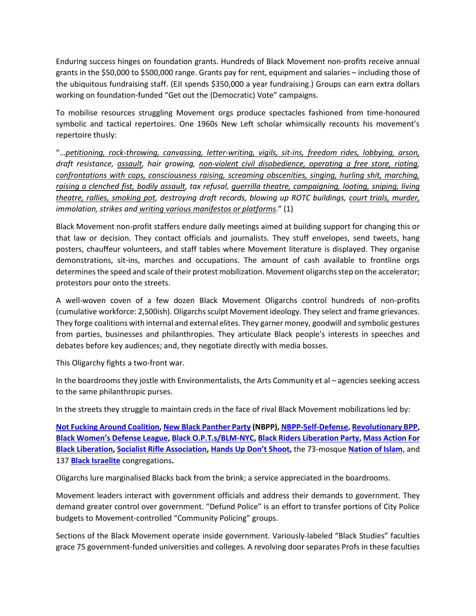Enduring success hinges on foundation grants. Hundreds of Black Movement non-profits receive annual grants in the \$50,000 to \$500,000 range. Grants pay for rent, equipment and salaries – including those of the ubiquitous fundraising staff. (EJI spends \$350,000 a year fundraising.) Groups can earn extra dollars working on foundation-funded "Get out the (Democratic) Vote" campaigns.

To mobilise resources struggling Movement orgs produce spectacles fashioned from time-honoured symbolic and tactical repertoires. One 1960s New Left scholar whimsically recounts his movement's repertoire thusly:

"…*petitioning, rock-throwing, canvassing, letter-writing, vigils, sit-ins, freedom rides, lobbying, arson, draft resistance, assault, hair growing, non-violent civil disobedience, operating a free store, rioting, confrontations with cops, consciousness raising, screaming obscenities, singing, hurling shit, marching, raising a clenched fist, bodily assault, tax refusal, guerrilla theatre, campaigning, looting, sniping, living theatre, rallies, smoking pot, destroying draft records, blowing up ROTC buildings, court trials, murder, immolation, strikes and writing various manifestos or platforms.*" (1)

Black Movement non-profit staffers endure daily meetings aimed at building support for changing this or that law or decision. They contact officials and journalists. They stuff envelopes, send tweets, hang posters, chauffeur volunteers, and staff tables where Movement literature is displayed. They organise demonstrations, sit-ins, marches and occupations. The amount of cash available to frontline orgs determines the speed and scale of their protest mobilization. Movement oligarchs step on the accelerator; protestors pour onto the streets.

A well-woven coven of a few dozen Black Movement Oligarchs control hundreds of non-profits (cumulative workforce: 2,500ish). Oligarchs sculpt Movement ideology. They select and frame grievances. They forge coalitions with internal and external elites. They garner money, goodwill and symbolic gestures from parties, businesses and philanthropies. They articulate Black people's interests in speeches and debates before key audiences; and, they negotiate directly with media bosses.

This Oligarchy fights a two-front war.

In the boardrooms they jostle with Environmentalists, the Arts Community et al – agencies seeking access to the same philanthropic purses.

In the streets they struggle to maintain creds in the face of rival Black Movement mobilizations led by:

**[Not Fucking Around Coalition,](https://twitter.com/YourAnonCentral/status/1279563655307071488) [New Black Panther Party](https://www.cbpm.org/nbpp.html) (NBPP)[, NBPP-Self-Defense,](https://www.youtube.com/watch?v=V_VPoRlrBlk) [Revolutionary BPP,](http://www.therevolutionaryblackpantherparty.org/) Black Women['s Defense Leagu](https://www.facebook.com/blackwomensdefenseleague/)e, [Black O.P.T.s/BLM-NYC,](https://www.facebook.com/blmgreaterny/) [Black Riders Liberation Party,](https://2servethapeople.wixsite.com/brlp) [Mass Action For](https://www.facebook.com/MassActionForBlackLiberation/)  [Black Liberation,](https://www.facebook.com/MassActionForBlackLiberation/) [Socialist Rifle Association,](https://socialistra.org/) [Hands Up D](https://www.facebook.com/handsupdontshoot)on't Shoot,** the 73-mosque **[Nation of Islam](https://www.noi.org/)**, and 137 **[Black Israelite](https://isupk.com/)** congregations**.** 

Oligarchs lure marginalised Blacks back from the brink; a service appreciated in the boardrooms.

Movement leaders interact with government officials and address their demands to government. They demand greater control over government. "Defund Police" is an effort to transfer portions of City Police budgets to Movement-controlled "Community Policing" groups.

Sections of the Black Movement operate inside government. Variously-labeled "Black Studies" faculties grace 75 government-funded universities and colleges. A revolving door separates Profs in these faculties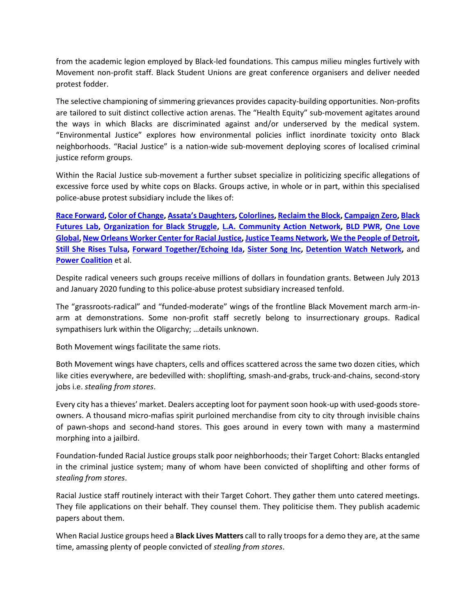from the academic legion employed by Black-led foundations. This campus milieu mingles furtively with Movement non-profit staff. Black Student Unions are great conference organisers and deliver needed protest fodder.

The selective championing of simmering grievances provides capacity-building opportunities. Non-profits are tailored to suit distinct collective action arenas. The "Health Equity" sub-movement agitates around the ways in which Blacks are discriminated against and/or underserved by the medical system. "Environmental Justice" explores how environmental policies inflict inordinate toxicity onto Black neighborhoods. "Racial Justice" is a nation-wide sub-movement deploying scores of localised criminal justice reform groups.

Within the Racial Justice sub-movement a further subset specialize in politicizing specific allegations of excessive force used by white cops on Blacks. Groups active, in whole or in part, within this specialised police-abuse protest subsidiary include the likes of:

**[Race Forward,](https://www.raceforward.org/) [Color of Change,](https://colorofchange.org/) [Assata's Daughters](https://www.assatasdaughters.org/)[, Colorlines,](https://www.colorlines.com/) [Reclaim the Block,](https://www.reclaimtheblock.org/) [Campaign Zero,](https://www.joincampaignzero.org/) [Black](https://blackfutureslab.org/)  [Futures Lab,](https://blackfutureslab.org/) [Organization for Black Struggle,](https://www.obs-stl.org/) [L.A. Community Action Network,](https://cangress.org/) [BLD PWR,](https://www.bldpwr.com/) [One Love](https://www.oneloveglobal.org/racialequity)  [Global,](https://www.oneloveglobal.org/racialequity) [New Orleans Worker Center for Racial Justice,](https://nowcrj.org/about-nowcrj/) [Justice Teams Network,](https://justiceteams.org/) [We the People of Detroit,](https://www.wethepeopleofdetroit.com/) [Still She Rises Tulsa,](https://www.stillsherises.org/) [Forward Together/Echoing Ida,](https://forwardtogether.org/programs/echoing-ida/) [Sister Song Inc,](https://www.sistersong.net/) [Detention Watch Network,](https://www.detentionwatchnetwork.org/)** and **[Power Coalition](http://powercoalition.org/)** et al.

Despite radical veneers such groups receive millions of dollars in foundation grants. Between July 2013 and January 2020 funding to this police-abuse protest subsidiary increased tenfold.

The "grassroots-radical" and "funded-moderate" wings of the frontline Black Movement march arm-inarm at demonstrations. Some non-profit staff secretly belong to insurrectionary groups. Radical sympathisers lurk within the Oligarchy; …details unknown.

Both Movement wings facilitate the same riots.

Both Movement wings have chapters, cells and offices scattered across the same two dozen cities, which like cities everywhere, are bedevilled with: shoplifting, smash-and-grabs, truck-and-chains, second-story jobs i.e. *stealing from stores*.

Every city has a thieves' market. Dealers accepting loot for payment soon hook-up with used-goods storeowners. A thousand micro-mafias spirit purloined merchandise from city to city through invisible chains of pawn-shops and second-hand stores. This goes around in every town with many a mastermind morphing into a jailbird.

Foundation-funded Racial Justice groups stalk poor neighborhoods; their Target Cohort: Blacks entangled in the criminal justice system; many of whom have been convicted of shoplifting and other forms of *stealing from stores*.

Racial Justice staff routinely interact with their Target Cohort. They gather them unto catered meetings. They file applications on their behalf. They counsel them. They politicise them. They publish academic papers about them.

When Racial Justice groups heed a **Black Lives Matters** call to rally troops for a demo they are, at the same time, amassing plenty of people convicted of *stealing from stores*.